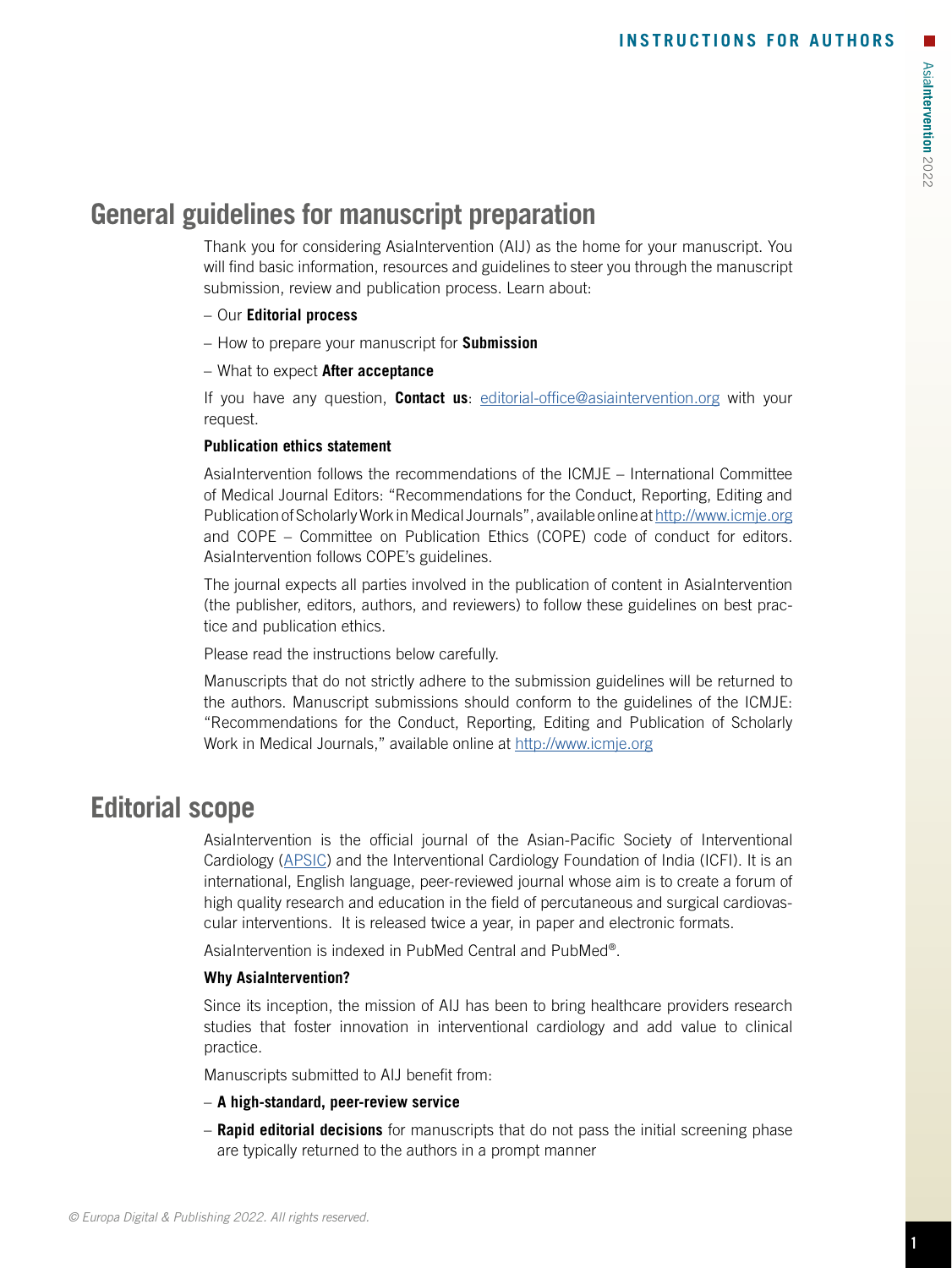# **General guidelines for manuscript preparation**

Thank you for considering AsiaIntervention (AIJ) as the home for your manuscript. You will find basic information, resources and guidelines to steer you through the manuscript submission, review and publication process. Learn about:

- Our **Editorial process**
- How to prepare your manuscript for **Submission**
- What to expect **After acceptance**

If you have any question, **Contact us**: [editorial-office@asiaintervention.org](mailto:editorial-office@asiaintervention.org) with your request.

# **Publication ethics statement**

AsiaIntervention follows the recommendations of the ICMJE – International Committee of Medical Journal Editors: "Recommendations for the Conduct, Reporting, Editing and Publication of Scholarly Work in Medical Journals", available online at<http://www.icmje.org> and COPE – Committee on Publication Ethics (COPE) code of conduct for editors. AsiaIntervention follows COPE's guidelines.

The journal expects all parties involved in the publication of content in AsiaIntervention (the publisher, editors, authors, and reviewers) to follow these guidelines on best practice and publication ethics.

Please read the instructions below carefully.

Manuscripts that do not strictly adhere to the submission guidelines will be returned to the authors. Manuscript submissions should conform to the guidelines of the ICMJE: "Recommendations for the Conduct, Reporting, Editing and Publication of Scholarly Work in Medical Journals," available online at<http://www.icmje.org>

# **Editorial scope**

AsiaIntervention is the official journal of the Asian-Pacific Society of Interventional Cardiology ([APSIC](https://www.apsic.net/)) and the Interventional Cardiology Foundation of India (ICFI). It is an international, English language, peer-reviewed journal whose aim is to create a forum of high quality research and education in the field of percutaneous and surgical cardiovascular interventions. It is released twice a year, in paper and electronic formats.

AsiaIntervention is indexed in PubMed Central and PubMed®.

# **Why AsiaIntervention?**

Since its inception, the mission of AIJ has been to bring healthcare providers research studies that foster innovation in interventional cardiology and add value to clinical practice.

Manuscripts submitted to AIJ benefit from:

- **A high-standard, peer-review service**
- **Rapid editorial decisions** for manuscripts that do not pass the initial screening phase are typically returned to the authors in a prompt manner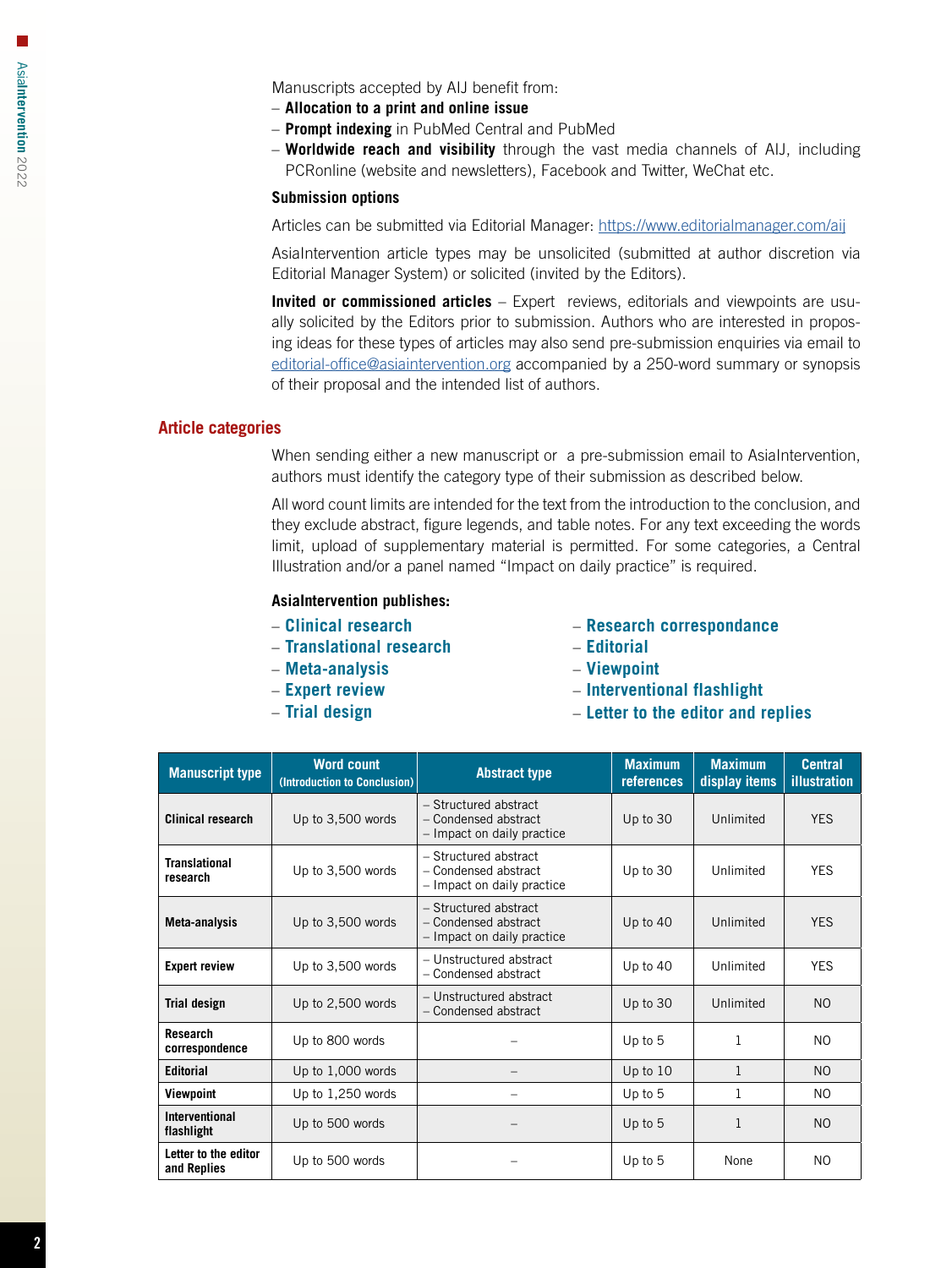Manuscripts accepted by AIJ benefit from:

- **Allocation to a print and online issue**
- **Prompt indexing** in PubMed Central and PubMed
- **Worldwide reach and visibility** through the vast media channels of AIJ, including PCRonline (website and newsletters), Facebook and Twitter, WeChat etc.

## **Submission options**

Articles can be submitted via Editorial Manager: <https://www.editorialmanager.com/aij>

AsiaIntervention article types may be unsolicited (submitted at author discretion via Editorial Manager System) or solicited (invited by the Editors).

**Invited or commissioned articles** – Expert reviews, editorials and viewpoints are usually solicited by the Editors prior to submission. Authors who are interested in proposing ideas for these types of articles may also send pre-submission enquiries via email to [editorial-office@asiaintervention.org](mailto:editorial-office%40asiaintervention.org?subject=) accompanied by a 250-word summary or synopsis of their proposal and the intended list of authors.

# **Article categories**

When sending either a new manuscript or a pre-submission email to AsiaIntervention, authors must identify the category type of their submission as described below.

All word count limits are intended for the text from the introduction to the conclusion, and they exclude abstract, figure legends, and table notes. For any text exceeding the words limit, upload of supplementary material is permitted. For some categories, a Central Illustration and/or a panel named "Impact on daily practice" is required.

# **AsiaIntervention publishes:**

- **Clinical research**
- **Translational research**
- **Meta-analysis**
- **Expert review**
- **Trial design**
- **Research correspondance**
- **Editorial**
- **Viewpoint**
- **Interventional flashlight**
- **Letter to the editor and replies**

| <b>Manuscript type</b>              | <b>Word count</b><br>(Introduction to Conclusion) | <b>Abstract type</b>                                                        | <b>Maximum</b><br>references | <b>Maximum</b><br>display items | <b>Central</b><br>illustration |
|-------------------------------------|---------------------------------------------------|-----------------------------------------------------------------------------|------------------------------|---------------------------------|--------------------------------|
| <b>Clinical research</b>            | Up to 3,500 words                                 | - Structured abstract<br>- Condensed abstract<br>- Impact on daily practice | Up to 30                     | Unlimited                       | <b>YES</b>                     |
| <b>Translational</b><br>research    | Up to 3,500 words                                 | - Structured abstract<br>- Condensed abstract<br>- Impact on daily practice | Up to 30                     | Unlimited                       | <b>YES</b>                     |
| Meta-analysis                       | Up to 3,500 words                                 | - Structured abstract<br>- Condensed abstract<br>- Impact on daily practice | Up to $40$                   | Unlimited                       | <b>YES</b>                     |
| <b>Expert review</b>                | Up to 3,500 words                                 | - Unstructured abstract<br>- Condensed abstract                             | Up to $40$                   | Unlimited                       | <b>YES</b>                     |
| <b>Trial design</b>                 | Up to 2,500 words                                 | - Unstructured abstract<br>- Condensed abstract                             | Up to 30                     | Unlimited                       | N <sub>O</sub>                 |
| Research<br>correspondence          | Up to 800 words                                   |                                                                             | Up to 5                      | 1                               | N <sub>O</sub>                 |
| <b>Editorial</b>                    | Up to 1,000 words                                 |                                                                             | Up to 10                     | 1                               | N <sub>O</sub>                 |
| Viewpoint                           | Up to 1,250 words                                 |                                                                             | Up to 5                      | 1                               | N <sub>O</sub>                 |
| Interventional<br>flashlight        | Up to 500 words                                   |                                                                             | Up to 5                      | 1                               | N <sub>O</sub>                 |
| Letter to the editor<br>and Replies | Up to 500 words                                   |                                                                             | Up to $5$                    | None                            | N <sub>O</sub>                 |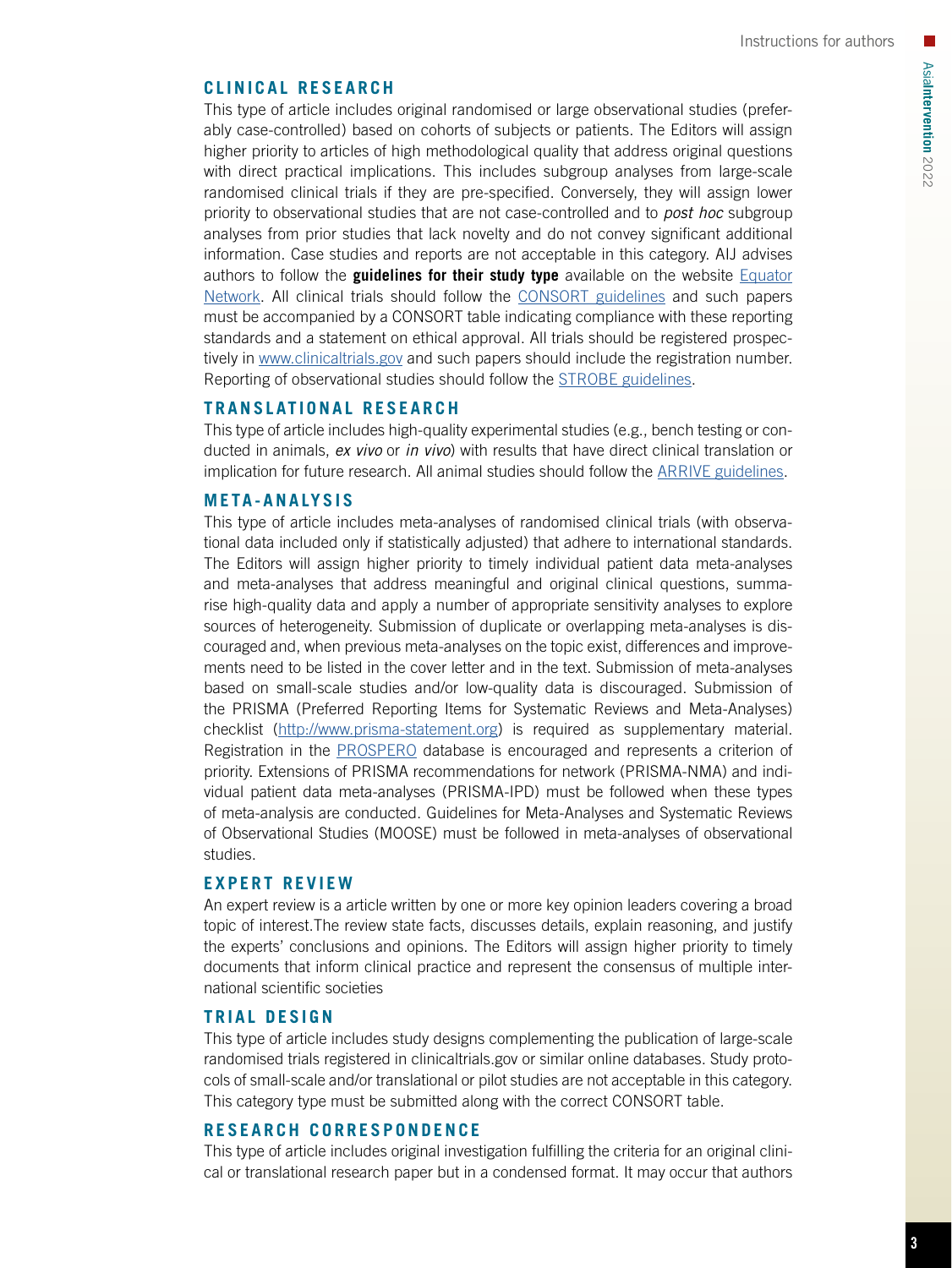# **CLINICAL RESEARCH**

This type of article includes original randomised or large observational studies (preferably case-controlled) based on cohorts of subjects or patients. The Editors will assign higher priority to articles of high methodological quality that address original questions with direct practical implications. This includes subgroup analyses from large-scale randomised clinical trials if they are pre-specified. Conversely, they will assign lower priority to observational studies that are not case-controlled and to *post hoc* subgroup analyses from prior studies that lack novelty and do not convey significant additional information. Case studies and reports are not acceptable in this category. AIJ advises authors to follow the **guidelines for their study type** available on the website [Equator](http://www.equator-network.org/) [Network.](http://www.equator-network.org/) All clinical trials should follow the [CONSORT guidelines](http://www.consort-statement.org/) and such papers must be accompanied by a CONSORT table indicating compliance with these reporting standards and a statement on ethical approval. All trials should be registered prospectively in [www.clinicaltrials.gov](http://www.clinicaltrials.gov) and such papers should include the registration number. Reporting of observational studies should follow the [STROBE guidelines.](https://www.strobe-statement.org/)

# **TRANSLATIONAL RESEARCH**

This type of article includes high-quality experimental studies (e.g., bench testing or conducted in animals, *ex vivo* or *in vivo*) with results that have direct clinical translation or implication for future research. All animal studies should follow the [ARRIVE guidelines](http://www.nc3rs.org.uk/arrive-guidelines).

#### **META-ANALYSIS**

This type of article includes meta-analyses of randomised clinical trials (with observational data included only if statistically adjusted) that adhere to international standards. The Editors will assign higher priority to timely individual patient data meta-analyses and meta-analyses that address meaningful and original clinical questions, summarise high-quality data and apply a number of appropriate sensitivity analyses to explore sources of heterogeneity. Submission of duplicate or overlapping meta-analyses is discouraged and, when previous meta-analyses on the topic exist, differences and improvements need to be listed in the cover letter and in the text. Submission of meta-analyses based on small-scale studies and/or low-quality data is discouraged. Submission of the PRISMA (Preferred Reporting Items for Systematic Reviews and Meta-Analyses) checklist [\(http://www.prisma-statement.org](http://www.prisma-statement.org)) is required as supplementary material. Registration in the [PROSPERO](https://www.crd.york.ac.uk/prospero/) database is encouraged and represents a criterion of priority. Extensions of PRISMA recommendations for network (PRISMA-NMA) and individual patient data meta-analyses (PRISMA-IPD) must be followed when these types of meta-analysis are conducted. Guidelines for Meta-Analyses and Systematic Reviews of Observational Studies (MOOSE) must be followed in meta-analyses of observational studies.

#### **EXPERT REVIEW**

An expert review is a article written by one or more key opinion leaders covering a broad topic of interest.The review state facts, discusses details, explain reasoning, and justify the experts' conclusions and opinions. The Editors will assign higher priority to timely documents that inform clinical practice and represent the consensus of multiple international scientific societies

# **TRIAL DESIGN**

This type of article includes study designs complementing the publication of large-scale randomised trials registered in clinicaltrials.gov or similar online databases. Study protocols of small-scale and/or translational or pilot studies are not acceptable in this category. This category type must be submitted along with the correct CONSORT table.

#### **RESEARCH CORRESPONDENCE**

This type of article includes original investigation fulfilling the criteria for an original clinical or translational research paper but in a condensed format. It may occur that authors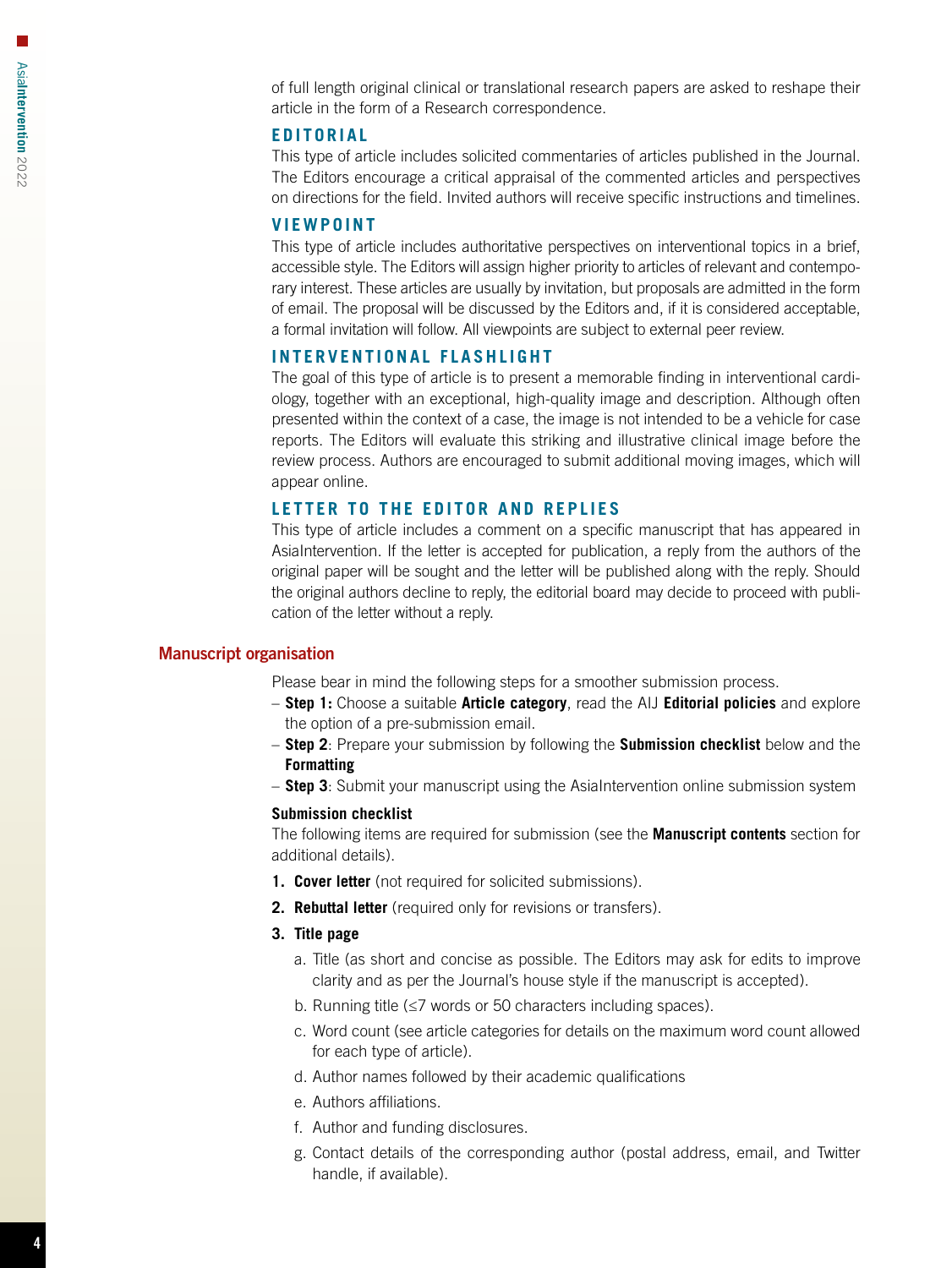of full length original clinical or translational research papers are asked to reshape their article in the form of a Research correspondence.

# **EDITORIAL**

This type of article includes solicited commentaries of articles published in the Journal. The Editors encourage a critical appraisal of the commented articles and perspectives on directions for the field. Invited authors will receive specific instructions and timelines.

# **VIEWPOINT**

This type of article includes authoritative perspectives on interventional topics in a brief, accessible style. The Editors will assign higher priority to articles of relevant and contemporary interest. These articles are usually by invitation, but proposals are admitted in the form of email. The proposal will be discussed by the Editors and, if it is considered acceptable, a formal invitation will follow. All viewpoints are subject to external peer review.

#### **INTERVENTIONAL FLASHLIGHT**

The goal of this type of article is to present a memorable finding in interventional cardiology, together with an exceptional, high-quality image and description. Although often presented within the context of a case, the image is not intended to be a vehicle for case reports. The Editors will evaluate this striking and illustrative clinical image before the review process. Authors are encouraged to submit additional moving images, which will appear online.

# **LETTER TO THE EDITOR AND REPLIES**

This type of article includes a comment on a specific manuscript that has appeared in AsiaIntervention. If the letter is accepted for publication, a reply from the authors of the original paper will be sought and the letter will be published along with the reply. Should the original authors decline to reply, the editorial board may decide to proceed with publication of the letter without a reply.

#### Manuscript organisation

Please bear in mind the following steps for a smoother submission process.

- **Step 1:** Choose a suitable **Article category**, read the AIJ **Editorial policies** and explore the option of a pre-submission email.
- **Step 2**: Prepare your submission by following the **Submission checklist** below and the **Formatting**
- **Step 3**: Submit your manuscript using the AsiaIntervention online submission system

#### **Submission checklist**

The following items are required for submission (see the **Manuscript contents** section for additional details).

- **1. Cover letter** (not required for solicited submissions).
- **2. Rebuttal letter** (required only for revisions or transfers).

# **3. Title page**

- a. Title (as short and concise as possible. The Editors may ask for edits to improve clarity and as per the Journal's house style if the manuscript is accepted).
- b. Running title (≤7 words or 50 characters including spaces).
- c. Word count (see article categories for details on the maximum word count allowed for each type of article).
- d. Author names followed by their academic qualifications
- e. Authors affiliations.
- f. Author and funding disclosures.
- g. Contact details of the corresponding author (postal address, email, and Twitter handle, if available).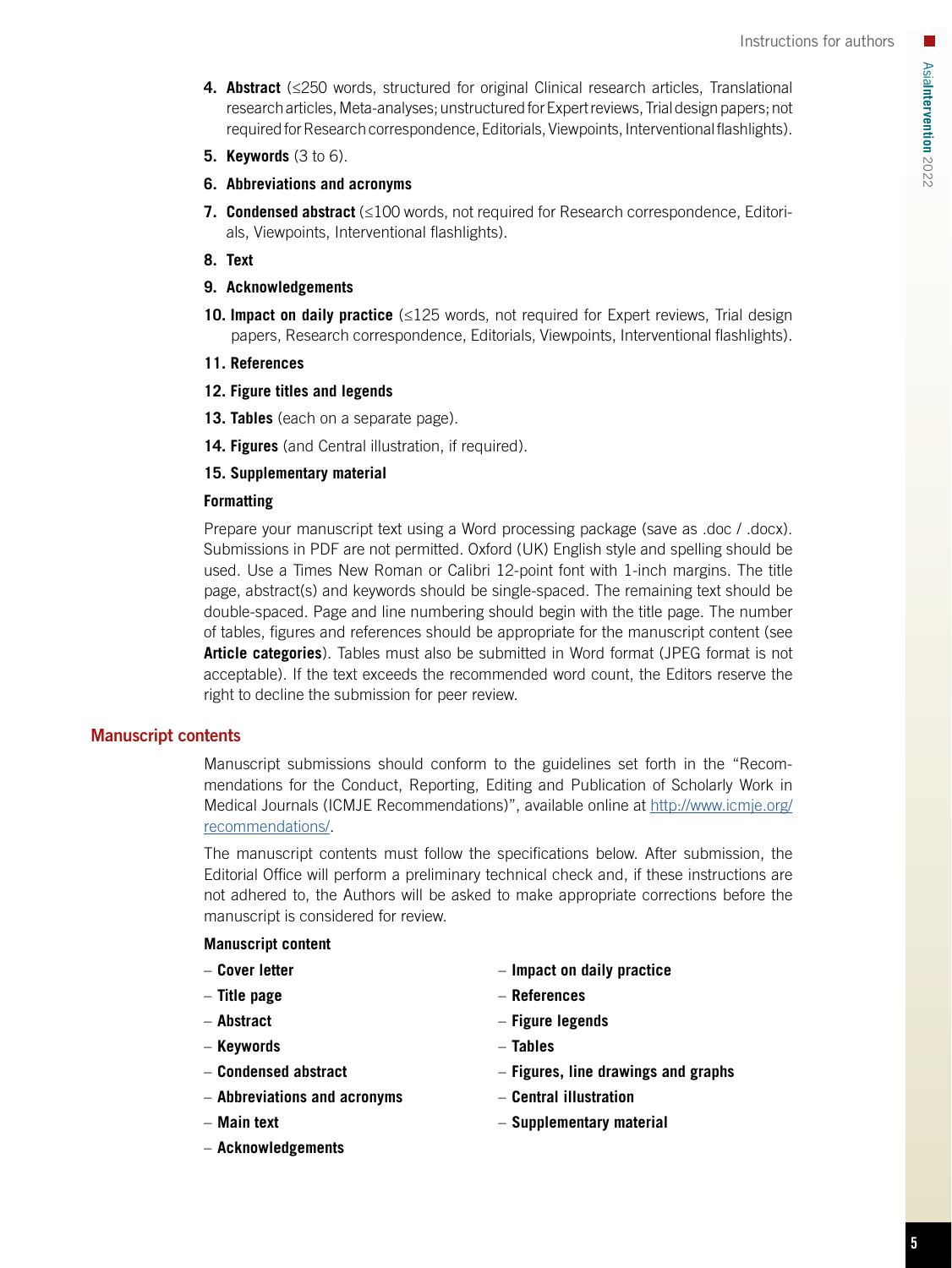- **4. Abstract** (≤250 words, structured for original Clinical research articles, Translational research articles, Meta-analyses; unstructured for Expert reviews, Trial design papers; not required for Research correspondence, Editorials, Viewpoints, Interventional flashlights).
- **5. Keywords** (3 to 6).
- **6. Abbreviations and acronyms**
- **7. Condensed abstract** (≤100 words, not required for Research correspondence, Editorials, Viewpoints, Interventional flashlights).
- **8. Text**
- **9. Acknowledgements**
- **10. Impact on daily practice** (≤125 words, not required for Expert reviews, Trial design papers, Research correspondence, Editorials, Viewpoints, Interventional flashlights).
- **11. References**
- **12. Figure titles and legends**
- **13. Tables** (each on a separate page).
- **14. Figures** (and Central illustration, if required).

# **15. Supplementary material**

# **Formatting**

Prepare your manuscript text using a Word processing package (save as .doc / .docx). Submissions in PDF are not permitted. Oxford (UK) English style and spelling should be used. Use a Times New Roman or Calibri 12-point font with 1-inch margins. The title page, abstract(s) and keywords should be single-spaced. The remaining text should be double-spaced. Page and line numbering should begin with the title page. The number of tables, figures and references should be appropriate for the manuscript content (see **Article categories**). Tables must also be submitted in Word format (JPEG format is not acceptable). If the text exceeds the recommended word count, the Editors reserve the right to decline the submission for peer review.

# Manuscript contents

Manuscript submissions should conform to the guidelines set forth in the "Recommendations for the Conduct, Reporting, Editing and Publication of Scholarly Work in Medical Journals (ICMJE Recommendations)", available online at [http://www.icmje.org/](http://www.icmje.org/recommendations/) [recommendations/](http://www.icmje.org/recommendations/).

The manuscript contents must follow the specifications below. After submission, the Editorial Office will perform a preliminary technical check and, if these instructions are not adhered to, the Authors will be asked to make appropriate corrections before the manuscript is considered for review.

# **Manuscript content**

- **Cover letter**
- **Title page**
- **Abstract**
- **Keywords**
- **Condensed abstract**
- **Abbreviations and acronyms**
- **Main text**
- **Acknowledgements**
- **Impact on daily practice**
- **References**
- **Figure legends**
- **Tables**
- **Figures, line drawings and graphs**
- **Central illustration**
- **Supplementary material**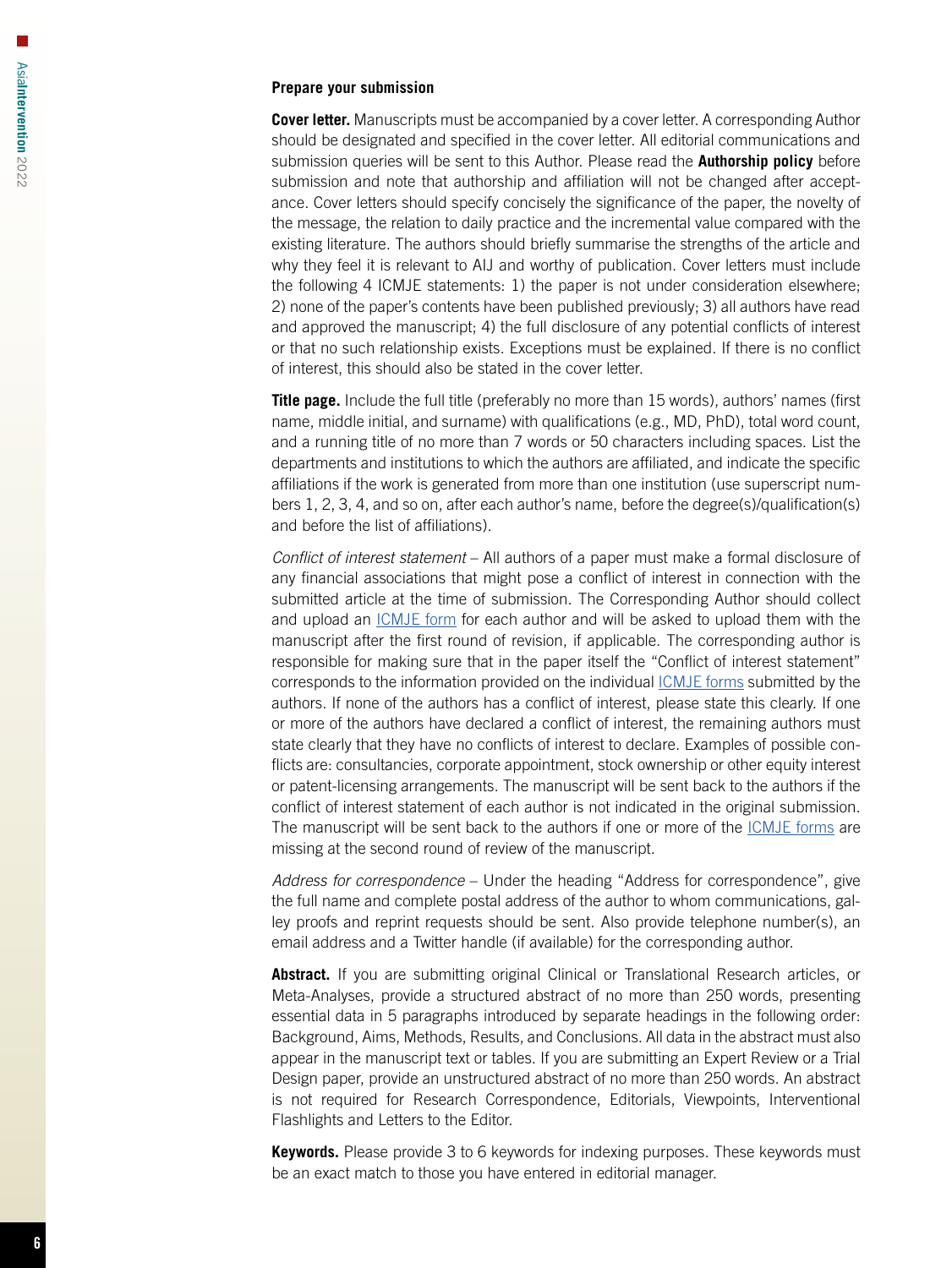#### **Prepare your submission**

**Cover letter.** Manuscripts must be accompanied by a cover letter. A corresponding Author should be designated and specified in the cover letter. All editorial communications and submission queries will be sent to this Author. Please read the **Authorship policy** before submission and note that authorship and affiliation will not be changed after acceptance. Cover letters should specify concisely the significance of the paper, the novelty of the message, the relation to daily practice and the incremental value compared with the existing literature. The authors should briefly summarise the strengths of the article and why they feel it is relevant to AIJ and worthy of publication. Cover letters must include the following 4 ICMJE statements: 1) the paper is not under consideration elsewhere; 2) none of the paper's contents have been published previously; 3) all authors have read and approved the manuscript; 4) the full disclosure of any potential conflicts of interest or that no such relationship exists. Exceptions must be explained. If there is no conflict of interest, this should also be stated in the cover letter.

**Title page.** Include the full title (preferably no more than 15 words), authors' names (first name, middle initial, and surname) with qualifications (e.g., MD, PhD), total word count, and a running title of no more than 7 words or 50 characters including spaces. List the departments and institutions to which the authors are affiliated, and indicate the specific affiliations if the work is generated from more than one institution (use superscript numbers 1, 2, 3, 4, and so on, after each author's name, before the degree(s)/qualification(s) and before the list of affiliations).

*Conflict of interest statement* – All authors of a paper must make a formal disclosure of any financial associations that might pose a conflict of interest in connection with the submitted article at the time of submission. The Corresponding Author should collect and upload an *ICMJE* form for each author and will be asked to upload them with the manuscript after the first round of revision, if applicable. The corresponding author is responsible for making sure that in the paper itself the "Conflict of interest statement" corresponds to the information provided on the individual [ICMJE forms](https://www.pcronline.com/email/doc-pdf/coi_disclosure_author.pdf) submitted by the authors. If none of the authors has a conflict of interest, please state this clearly. If one or more of the authors have declared a conflict of interest, the remaining authors must state clearly that they have no conflicts of interest to declare. Examples of possible conflicts are: consultancies, corporate appointment, stock ownership or other equity interest or patent-licensing arrangements. The manuscript will be sent back to the authors if the conflict of interest statement of each author is not indicated in the original submission. The manuscript will be sent back to the authors if one or more of the [ICMJE forms](https://www.pcronline.com/email/doc-pdf/coi_disclosure_author.pdf) are missing at the second round of review of the manuscript.

*Address for correspondence* – Under the heading "Address for correspondence", give the full name and complete postal address of the author to whom communications, galley proofs and reprint requests should be sent. Also provide telephone number(s), an email address and a Twitter handle (if available) for the corresponding author.

**Abstract.** If you are submitting original Clinical or Translational Research articles, or Meta-Analyses, provide a structured abstract of no more than 250 words, presenting essential data in 5 paragraphs introduced by separate headings in the following order: Background, Aims, Methods, Results, and Conclusions. All data in the abstract must also appear in the manuscript text or tables. If you are submitting an Expert Review or a Trial Design paper, provide an unstructured abstract of no more than 250 words. An abstract is not required for Research Correspondence, Editorials, Viewpoints, Interventional Flashlights and Letters to the Editor.

**Keywords.** Please provide 3 to 6 keywords for indexing purposes. These keywords must be an exact match to those you have entered in editorial manager.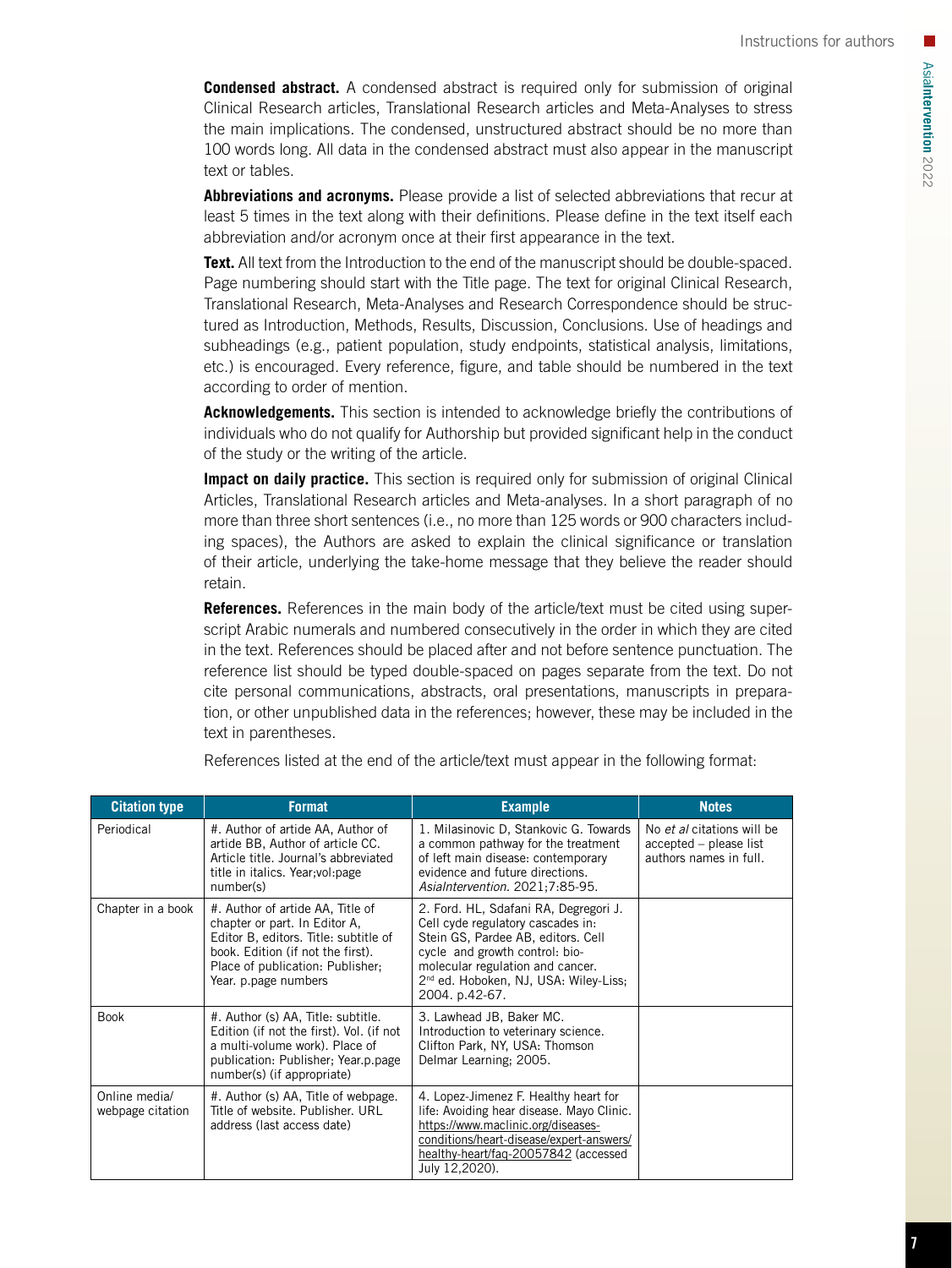**Condensed abstract.** A condensed abstract is required only for submission of original Clinical Research articles, Translational Research articles and Meta-Analyses to stress the main implications. The condensed, unstructured abstract should be no more than 100 words long. All data in the condensed abstract must also appear in the manuscript text or tables.

**Abbreviations and acronyms.** Please provide a list of selected abbreviations that recur at least 5 times in the text along with their definitions. Please define in the text itself each abbreviation and/or acronym once at their first appearance in the text.

**Text.** All text from the Introduction to the end of the manuscript should be double-spaced. Page numbering should start with the Title page. The text for original Clinical Research, Translational Research, Meta-Analyses and Research Correspondence should be structured as Introduction, Methods, Results, Discussion, Conclusions. Use of headings and subheadings (e.g., patient population, study endpoints, statistical analysis, limitations, etc.) is encouraged. Every reference, figure, and table should be numbered in the text according to order of mention.

**Acknowledgements.** This section is intended to acknowledge briefly the contributions of individuals who do not qualify for Authorship but provided significant help in the conduct of the study or the writing of the article.

**Impact on daily practice.** This section is required only for submission of original Clinical Articles, Translational Research articles and Meta-analyses. In a short paragraph of no more than three short sentences (i.e., no more than 125 words or 900 characters including spaces), the Authors are asked to explain the clinical significance or translation of their article, underlying the take-home message that they believe the reader should retain.

**References.** References in the main body of the article/text must be cited using superscript Arabic numerals and numbered consecutively in the order in which they are cited in the text. References should be placed after and not before sentence punctuation. The reference list should be typed double-spaced on pages separate from the text. Do not cite personal communications, abstracts, oral presentations, manuscripts in preparation, or other unpublished data in the references; however, these may be included in the text in parentheses.

| <b>Citation type</b>              | <b>Format</b>                                                                                                                                                                                               | <b>Example</b>                                                                                                                                                                                                                                                | <b>Notes</b>                                                                   |
|-----------------------------------|-------------------------------------------------------------------------------------------------------------------------------------------------------------------------------------------------------------|---------------------------------------------------------------------------------------------------------------------------------------------------------------------------------------------------------------------------------------------------------------|--------------------------------------------------------------------------------|
| Periodical                        | #. Author of artide AA, Author of<br>artide BB, Author of article CC.<br>Article title, Journal's abbreviated<br>title in italics. Year; vol: page<br>number(s)                                             | 1. Milasinovic D. Stankovic G. Towards<br>a common pathway for the treatment<br>of left main disease: contemporary<br>evidence and future directions.<br>AsiaIntervention. 2021;7:85-95.                                                                      | No et al citations will be<br>accepted – please list<br>authors names in full. |
| Chapter in a book                 | #. Author of artide AA, Title of<br>chapter or part. In Editor A,<br>Editor B, editors. Title: subtitle of<br>book. Edition (if not the first).<br>Place of publication: Publisher:<br>Year. p.page numbers | 2. Ford. HL, Sdafani RA, Degregori J.<br>Cell cyde regulatory cascades in:<br>Stein GS, Pardee AB, editors. Cell<br>cycle and growth control: bio-<br>molecular regulation and cancer.<br>2 <sup>nd</sup> ed. Hoboken, NJ, USA: Wiley-Liss;<br>2004. p.42-67. |                                                                                |
| <b>Book</b>                       | #. Author (s) AA, Title: subtitle.<br>Edition (if not the first). Vol. (if not<br>a multi-volume work). Place of<br>publication: Publisher: Year.p.page<br>number(s) (if appropriate)                       | 3. Lawhead JB, Baker MC.<br>Introduction to veterinary science.<br>Clifton Park, NY, USA: Thomson<br>Delmar Learning; 2005.                                                                                                                                   |                                                                                |
| Online media/<br>webpage citation | #. Author (s) AA, Title of webpage.<br>Title of website. Publisher, URL<br>address (last access date)                                                                                                       | 4. Lopez-Jimenez F. Healthy heart for<br>life: Avoiding hear disease. Mayo Clinic.<br>https://www.maclinic.org/diseases-<br>conditions/heart-disease/expert-answers/<br>healthy-heart/faq-20057842 (accessed<br>July 12,2020).                                |                                                                                |

References listed at the end of the article/text must appear in the following format: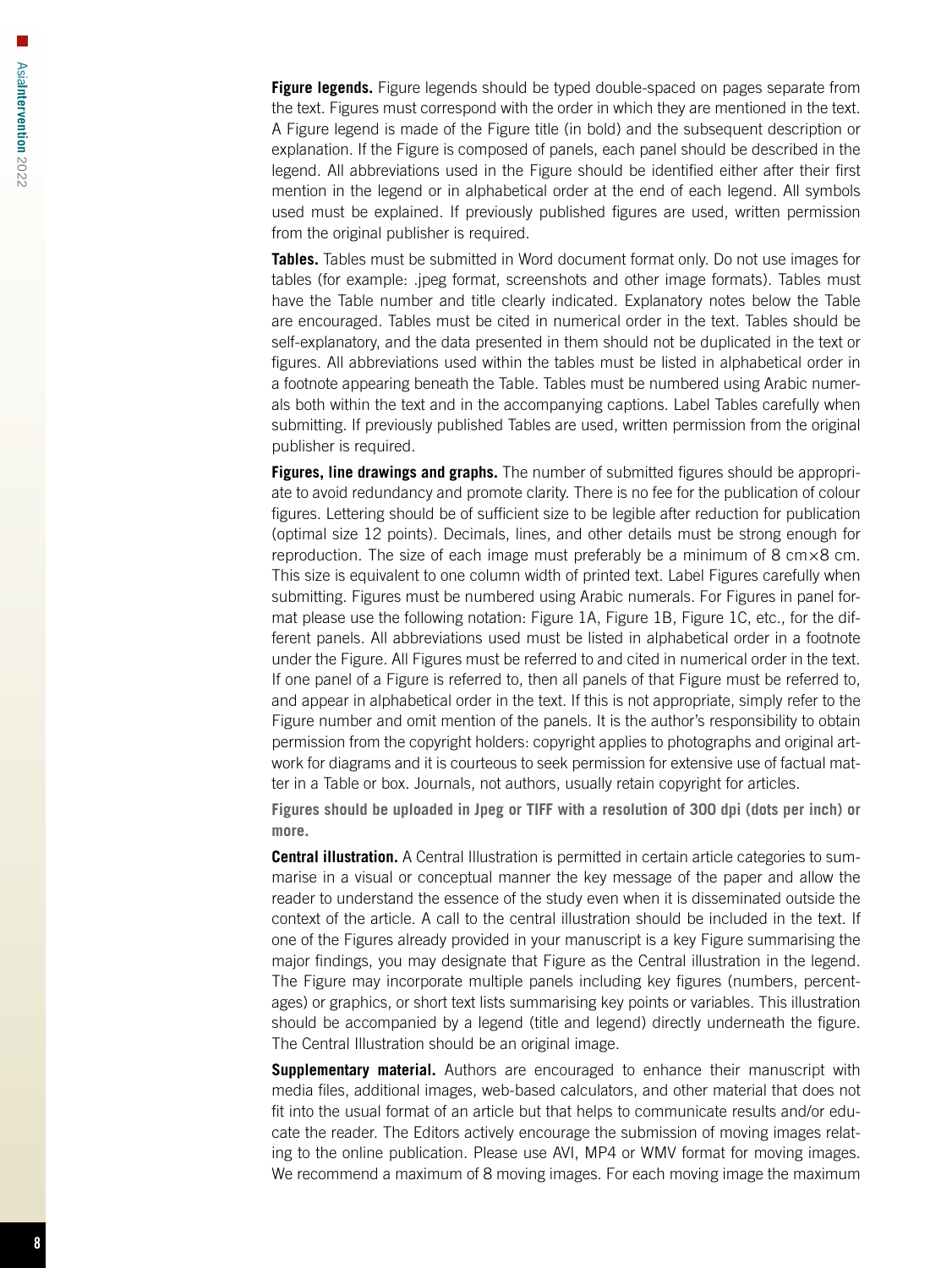**Figure legends.** Figure legends should be typed double-spaced on pages separate from the text. Figures must correspond with the order in which they are mentioned in the text. A Figure legend is made of the Figure title (in bold) and the subsequent description or explanation. If the Figure is composed of panels, each panel should be described in the legend. All abbreviations used in the Figure should be identified either after their first mention in the legend or in alphabetical order at the end of each legend. All symbols used must be explained. If previously published figures are used, written permission from the original publisher is required.

**Tables.** Tables must be submitted in Word document format only. Do not use images for tables (for example: .jpeg format, screenshots and other image formats). Tables must have the Table number and title clearly indicated. Explanatory notes below the Table are encouraged. Tables must be cited in numerical order in the text. Tables should be self-explanatory, and the data presented in them should not be duplicated in the text or figures. All abbreviations used within the tables must be listed in alphabetical order in a footnote appearing beneath the Table. Tables must be numbered using Arabic numerals both within the text and in the accompanying captions. Label Tables carefully when submitting. If previously published Tables are used, written permission from the original publisher is required.

**Figures, line drawings and graphs.** The number of submitted figures should be appropriate to avoid redundancy and promote clarity. There is no fee for the publication of colour figures. Lettering should be of sufficient size to be legible after reduction for publication (optimal size 12 points). Decimals, lines, and other details must be strong enough for reproduction. The size of each image must preferably be a minimum of 8  $\text{cm} \times 8 \text{ cm}$ . This size is equivalent to one column width of printed text. Label Figures carefully when submitting. Figures must be numbered using Arabic numerals. For Figures in panel format please use the following notation: Figure 1A, Figure 1B, Figure 1C, etc., for the different panels. All abbreviations used must be listed in alphabetical order in a footnote under the Figure. All Figures must be referred to and cited in numerical order in the text. If one panel of a Figure is referred to, then all panels of that Figure must be referred to, and appear in alphabetical order in the text. If this is not appropriate, simply refer to the Figure number and omit mention of the panels. It is the author's responsibility to obtain permission from the copyright holders: copyright applies to photographs and original artwork for diagrams and it is courteous to seek permission for extensive use of factual matter in a Table or box. Journals, not authors, usually retain copyright for articles.

**Figures should be uploaded in Jpeg or TIFF with a resolution of 300 dpi (dots per inch) or more.**

**Central illustration.** A Central Illustration is permitted in certain article categories to summarise in a visual or conceptual manner the key message of the paper and allow the reader to understand the essence of the study even when it is disseminated outside the context of the article. A call to the central illustration should be included in the text. If one of the Figures already provided in your manuscript is a key Figure summarising the major findings, you may designate that Figure as the Central illustration in the legend. The Figure may incorporate multiple panels including key figures (numbers, percentages) or graphics, or short text lists summarising key points or variables. This illustration should be accompanied by a legend (title and legend) directly underneath the figure. The Central Illustration should be an original image.

**Supplementary material.** Authors are encouraged to enhance their manuscript with media files, additional images, web-based calculators, and other material that does not fit into the usual format of an article but that helps to communicate results and/or educate the reader. The Editors actively encourage the submission of moving images relating to the online publication. Please use AVI, MP4 or WMV format for moving images. We recommend a maximum of 8 moving images. For each moving image the maximum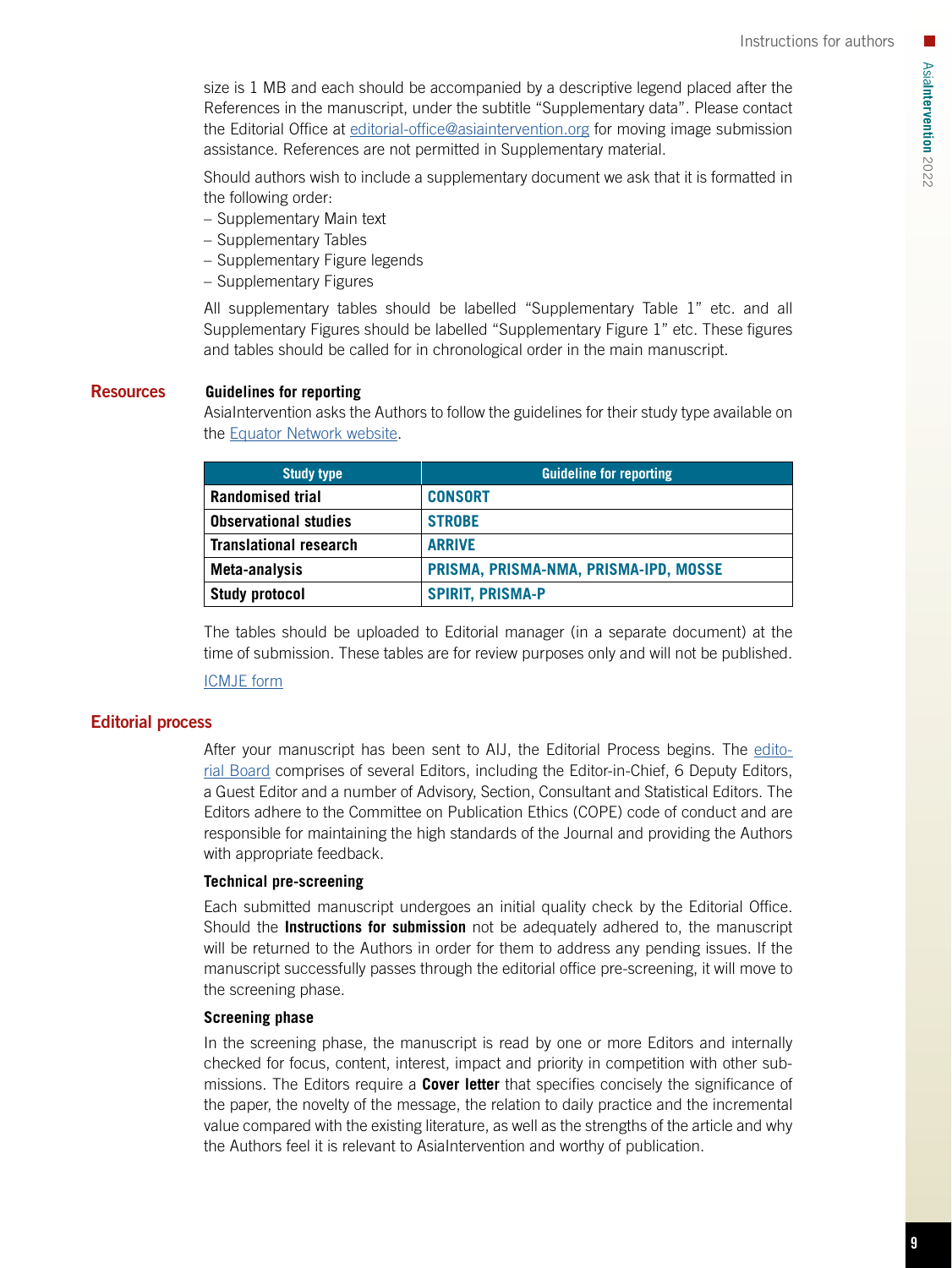size is 1 MB and each should be accompanied by a descriptive legend placed after the References in the manuscript, under the subtitle "Supplementary data". Please contact the Editorial Office at [editorial-office@asiaintervention.org](mailto:editorial-office%40asiaintervention.org?subject=) for moving image submission assistance. References are not permitted in Supplementary material.

Should authors wish to include a supplementary document we ask that it is formatted in the following order:

- Supplementary Main text
- Supplementary Tables
- Supplementary Figure legends
- Supplementary Figures

All supplementary tables should be labelled "Supplementary Table 1" etc. and all Supplementary Figures should be labelled "Supplementary Figure 1" etc. These figures and tables should be called for in chronological order in the main manuscript.

# Resources **Guidelines for reporting**

AsiaIntervention asks the Authors to follow the guidelines for their study type available on the [Equator Network website.](https://www.equator-network.org/)

| <b>Study type</b>             | <b>Guideline for reporting</b>        |  |
|-------------------------------|---------------------------------------|--|
| <b>Randomised trial</b>       | <b>CONSORT</b>                        |  |
| <b>Observational studies</b>  | <b>STROBE</b>                         |  |
| <b>Translational research</b> | <b>ARRIVE</b>                         |  |
| Meta-analysis                 | PRISMA, PRISMA-NMA, PRISMA-IPD, MOSSE |  |
| <b>Study protocol</b>         | <b>SPIRIT, PRISMA-P</b>               |  |

The tables should be uploaded to Editorial manager (in a separate document) at the time of submission. These tables are for review purposes only and will not be published.

# [ICMJE form](https://www.pcronline.com/email/doc-pdf/coi_disclosure_author.pdf)

# Editorial process

After your manuscript has been sent to AIJ, the Editorial Process begins. The [edito](https://www.asiaintervention.org/editorial-board/)[rial Board](https://www.asiaintervention.org/editorial-board/) comprises of several Editors, including the Editor-in-Chief, 6 Deputy Editors, a Guest Editor and a number of Advisory, Section, Consultant and Statistical Editors. The Editors adhere to the Committee on Publication Ethics (COPE) code of conduct and are responsible for maintaining the high standards of the Journal and providing the Authors with appropriate feedback.

# **Technical pre-screening**

Each submitted manuscript undergoes an initial quality check by the Editorial Office. Should the **Instructions for submission** not be adequately adhered to, the manuscript will be returned to the Authors in order for them to address any pending issues. If the manuscript successfully passes through the editorial office pre-screening, it will move to the screening phase.

# **Screening phase**

In the screening phase, the manuscript is read by one or more Editors and internally checked for focus, content, interest, impact and priority in competition with other submissions. The Editors require a **Cover letter** that specifies concisely the significance of the paper, the novelty of the message, the relation to daily practice and the incremental value compared with the existing literature, as well as the strengths of the article and why the Authors feel it is relevant to AsiaIntervention and worthy of publication.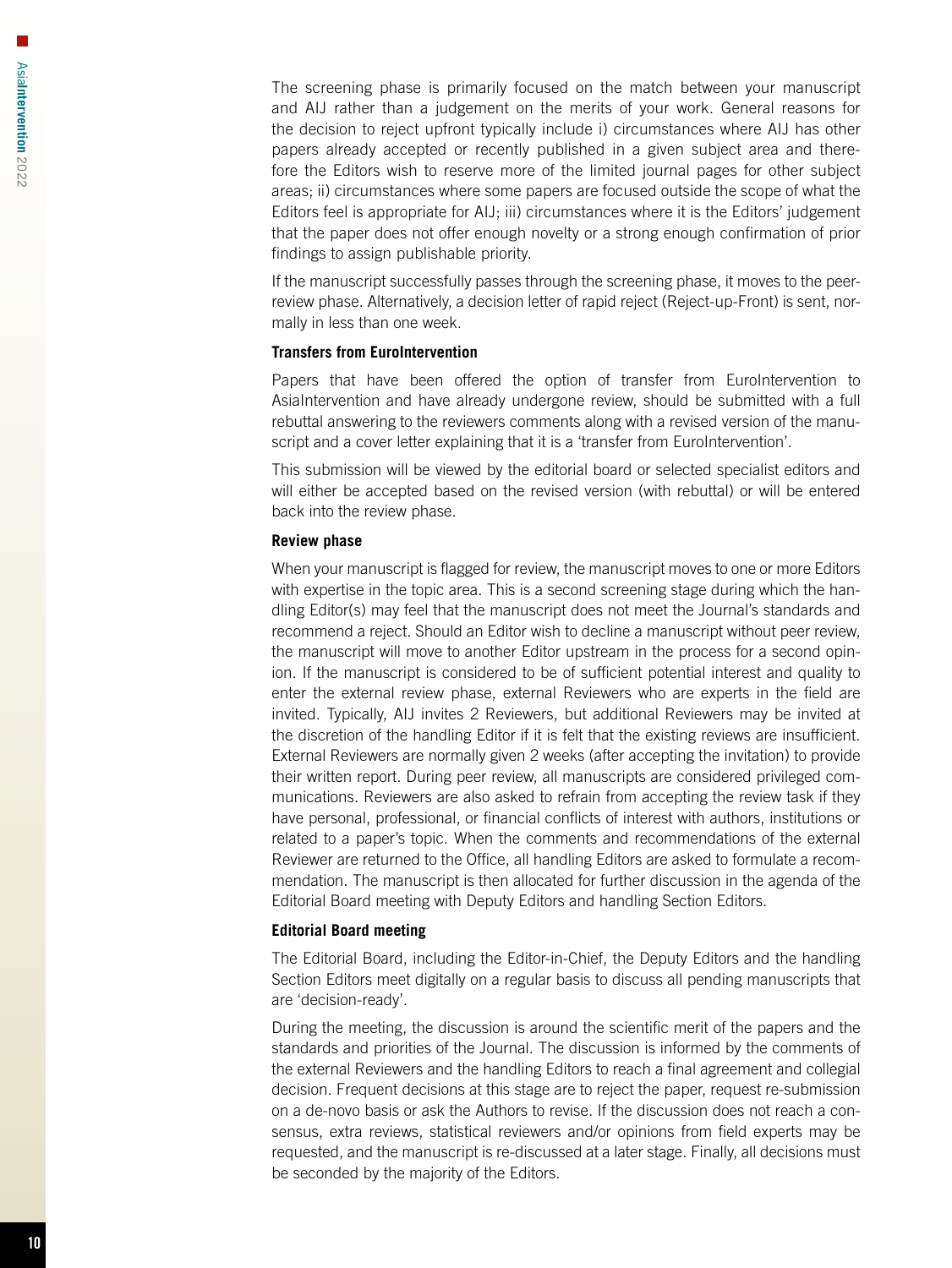The screening phase is primarily focused on the match between your manuscript and AIJ rather than a judgement on the merits of your work. General reasons for the decision to reject upfront typically include i) circumstances where AIJ has other papers already accepted or recently published in a given subject area and therefore the Editors wish to reserve more of the limited journal pages for other subject areas; ii) circumstances where some papers are focused outside the scope of what the Editors feel is appropriate for AIJ; iii) circumstances where it is the Editors' judgement that the paper does not offer enough novelty or a strong enough confirmation of prior findings to assign publishable priority.

If the manuscript successfully passes through the screening phase, it moves to the peerreview phase. Alternatively, a decision letter of rapid reject (Reject-up-Front) is sent, normally in less than one week.

#### **Transfers from EuroIntervention**

Papers that have been offered the option of transfer from EuroIntervention to AsiaIntervention and have already undergone review, should be submitted with a full rebuttal answering to the reviewers comments along with a revised version of the manuscript and a cover letter explaining that it is a 'transfer from EuroIntervention'.

This submission will be viewed by the editorial board or selected specialist editors and will either be accepted based on the revised version (with rebuttal) or will be entered back into the review phase.

#### **Review phase**

When your manuscript is flagged for review, the manuscript moves to one or more Editors with expertise in the topic area. This is a second screening stage during which the handling Editor(s) may feel that the manuscript does not meet the Journal's standards and recommend a reject. Should an Editor wish to decline a manuscript without peer review, the manuscript will move to another Editor upstream in the process for a second opinion. If the manuscript is considered to be of sufficient potential interest and quality to enter the external review phase, external Reviewers who are experts in the field are invited. Typically, AIJ invites 2 Reviewers, but additional Reviewers may be invited at the discretion of the handling Editor if it is felt that the existing reviews are insufficient. External Reviewers are normally given 2 weeks (after accepting the invitation) to provide their written report. During peer review, all manuscripts are considered privileged communications. Reviewers are also asked to refrain from accepting the review task if they have personal, professional, or financial conflicts of interest with authors, institutions or related to a paper's topic. When the comments and recommendations of the external Reviewer are returned to the Office, all handling Editors are asked to formulate a recommendation. The manuscript is then allocated for further discussion in the agenda of the Editorial Board meeting with Deputy Editors and handling Section Editors.

# **Editorial Board meeting**

The Editorial Board, including the Editor-in-Chief, the Deputy Editors and the handling Section Editors meet digitally on a regular basis to discuss all pending manuscripts that are 'decision-ready'.

During the meeting, the discussion is around the scientific merit of the papers and the standards and priorities of the Journal. The discussion is informed by the comments of the external Reviewers and the handling Editors to reach a final agreement and collegial decision. Frequent decisions at this stage are to reject the paper, request re-submission on a de-novo basis or ask the Authors to revise. If the discussion does not reach a consensus, extra reviews, statistical reviewers and/or opinions from field experts may be requested, and the manuscript is re-discussed at a later stage. Finally, all decisions must be seconded by the majority of the Editors.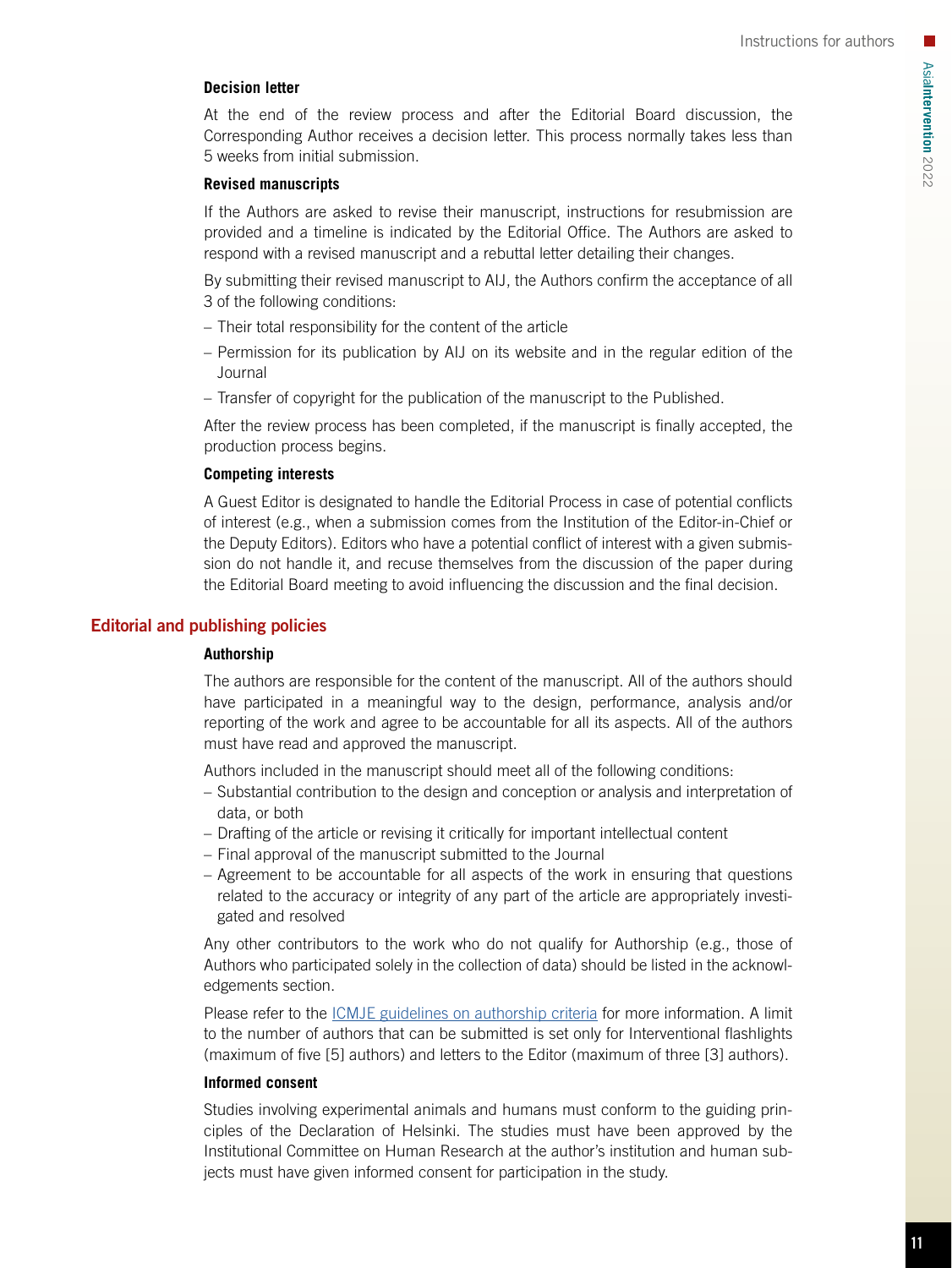# **Decision letter**

At the end of the review process and after the Editorial Board discussion, the Corresponding Author receives a decision letter. This process normally takes less than 5 weeks from initial submission.

# **Revised manuscripts**

If the Authors are asked to revise their manuscript, instructions for resubmission are provided and a timeline is indicated by the Editorial Office. The Authors are asked to respond with a revised manuscript and a rebuttal letter detailing their changes.

By submitting their revised manuscript to AIJ, the Authors confirm the acceptance of all 3 of the following conditions:

- Their total responsibility for the content of the article
- Permission for its publication by AIJ on its website and in the regular edition of the Journal
- Transfer of copyright for the publication of the manuscript to the Published.

After the review process has been completed, if the manuscript is finally accepted, the production process begins.

# **Competing interests**

A Guest Editor is designated to handle the Editorial Process in case of potential conflicts of interest (e.g., when a submission comes from the Institution of the Editor-in-Chief or the Deputy Editors). Editors who have a potential conflict of interest with a given submission do not handle it, and recuse themselves from the discussion of the paper during the Editorial Board meeting to avoid influencing the discussion and the final decision.

# Editorial and publishing policies

# **Authorship**

The authors are responsible for the content of the manuscript. All of the authors should have participated in a meaningful way to the design, performance, analysis and/or reporting of the work and agree to be accountable for all its aspects. All of the authors must have read and approved the manuscript.

Authors included in the manuscript should meet all of the following conditions:

- Substantial contribution to the design and conception or analysis and interpretation of data, or both
- Drafting of the article or revising it critically for important intellectual content
- Final approval of the manuscript submitted to the Journal
- Agreement to be accountable for all aspects of the work in ensuring that questions related to the accuracy or integrity of any part of the article are appropriately investigated and resolved

Any other contributors to the work who do not qualify for Authorship (e.g., those of Authors who participated solely in the collection of data) should be listed in the acknowledgements section.

Please refer to the [ICMJE guidelines on authorship criteria](http://www.icmje.org/recommendations/browse/roles-and-responsibilities/) for more information. A limit to the number of authors that can be submitted is set only for Interventional flashlights (maximum of five [5] authors) and letters to the Editor (maximum of three [3] authors).

# **Informed consent**

Studies involving experimental animals and humans must conform to the guiding principles of the Declaration of Helsinki. The studies must have been approved by the Institutional Committee on Human Research at the author's institution and human subjects must have given informed consent for participation in the study.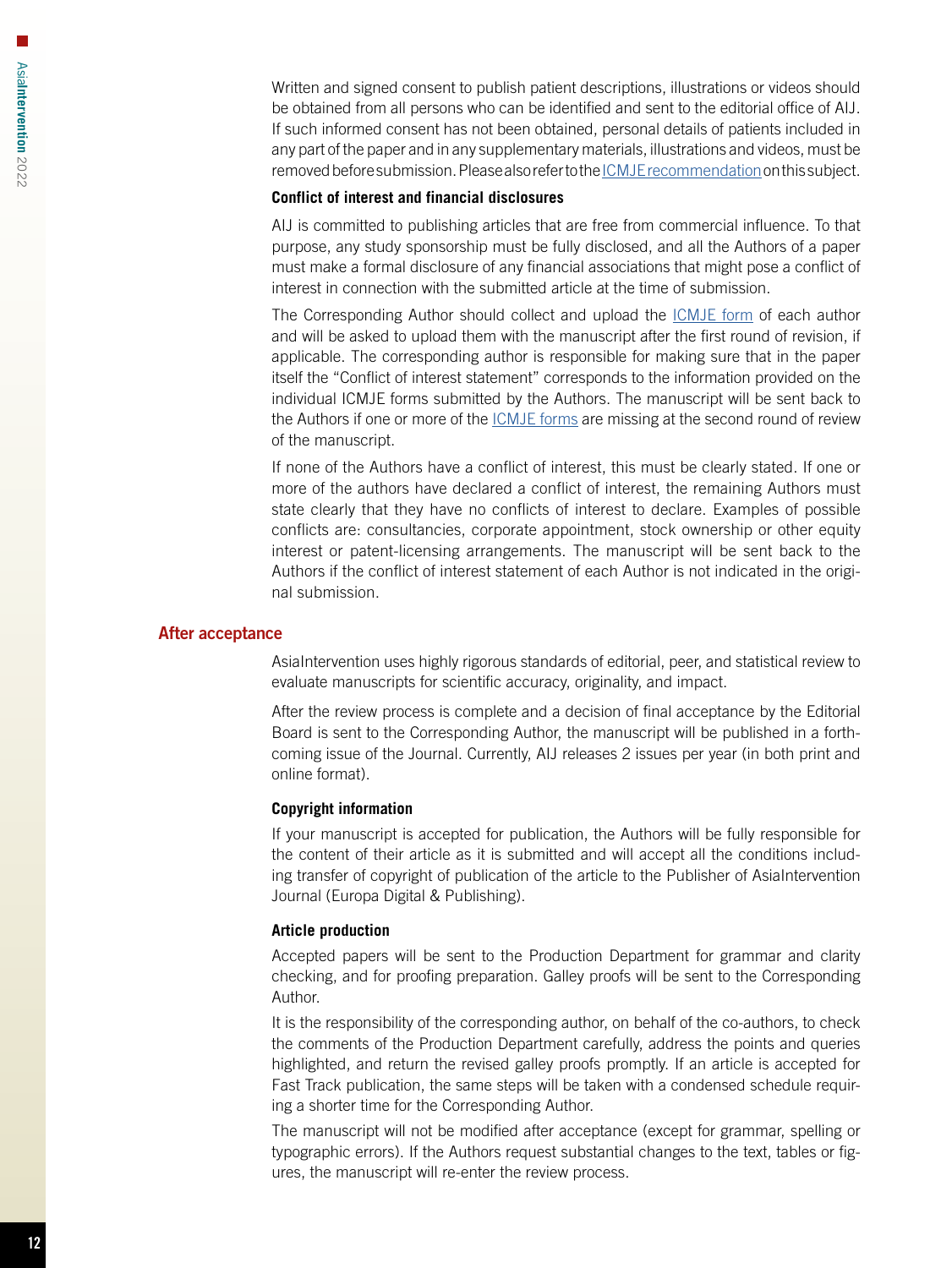Written and signed consent to publish patient descriptions, illustrations or videos should be obtained from all persons who can be identified and sent to the editorial office of AIJ. If such informed consent has not been obtained, personal details of patients included in any part of the paper and in any supplementary materials, illustrations and videos, must be removed before submission. Please also refer to the [ICMJE recommendation](http://www.icmje.org/recommendations/browse/roles-and-responsibilities/protection-of-research-participants.html) on this subject.

#### **Conflict of interest and financial disclosures**

AIJ is committed to publishing articles that are free from commercial influence. To that purpose, any study sponsorship must be fully disclosed, and all the Authors of a paper must make a formal disclosure of any financial associations that might pose a conflict of interest in connection with the submitted article at the time of submission.

The Corresponding Author should collect and upload the **ICMJE** form of each author and will be asked to upload them with the manuscript after the first round of revision, if applicable. The corresponding author is responsible for making sure that in the paper itself the "Conflict of interest statement" corresponds to the information provided on the individual ICMJE forms submitted by the Authors. The manuscript will be sent back to the Authors if one or more of the **ICMJE** forms are missing at the second round of review of the manuscript.

If none of the Authors have a conflict of interest, this must be clearly stated. If one or more of the authors have declared a conflict of interest, the remaining Authors must state clearly that they have no conflicts of interest to declare. Examples of possible conflicts are: consultancies, corporate appointment, stock ownership or other equity interest or patent-licensing arrangements. The manuscript will be sent back to the Authors if the conflict of interest statement of each Author is not indicated in the original submission.

# After acceptance

AsiaIntervention uses highly rigorous standards of editorial, peer, and statistical review to evaluate manuscripts for scientific accuracy, originality, and impact.

After the review process is complete and a decision of final acceptance by the Editorial Board is sent to the Corresponding Author, the manuscript will be published in a forthcoming issue of the Journal. Currently, AIJ releases 2 issues per year (in both print and online format).

#### **Copyright information**

If your manuscript is accepted for publication, the Authors will be fully responsible for the content of their article as it is submitted and will accept all the conditions including transfer of copyright of publication of the article to the Publisher of AsiaIntervention Journal (Europa Digital & Publishing).

#### **Article production**

Accepted papers will be sent to the Production Department for grammar and clarity checking, and for proofing preparation. Galley proofs will be sent to the Corresponding Author.

It is the responsibility of the corresponding author, on behalf of the co-authors, to check the comments of the Production Department carefully, address the points and queries highlighted, and return the revised galley proofs promptly. If an article is accepted for Fast Track publication, the same steps will be taken with a condensed schedule requiring a shorter time for the Corresponding Author.

The manuscript will not be modified after acceptance (except for grammar, spelling or typographic errors). If the Authors request substantial changes to the text, tables or figures, the manuscript will re-enter the review process.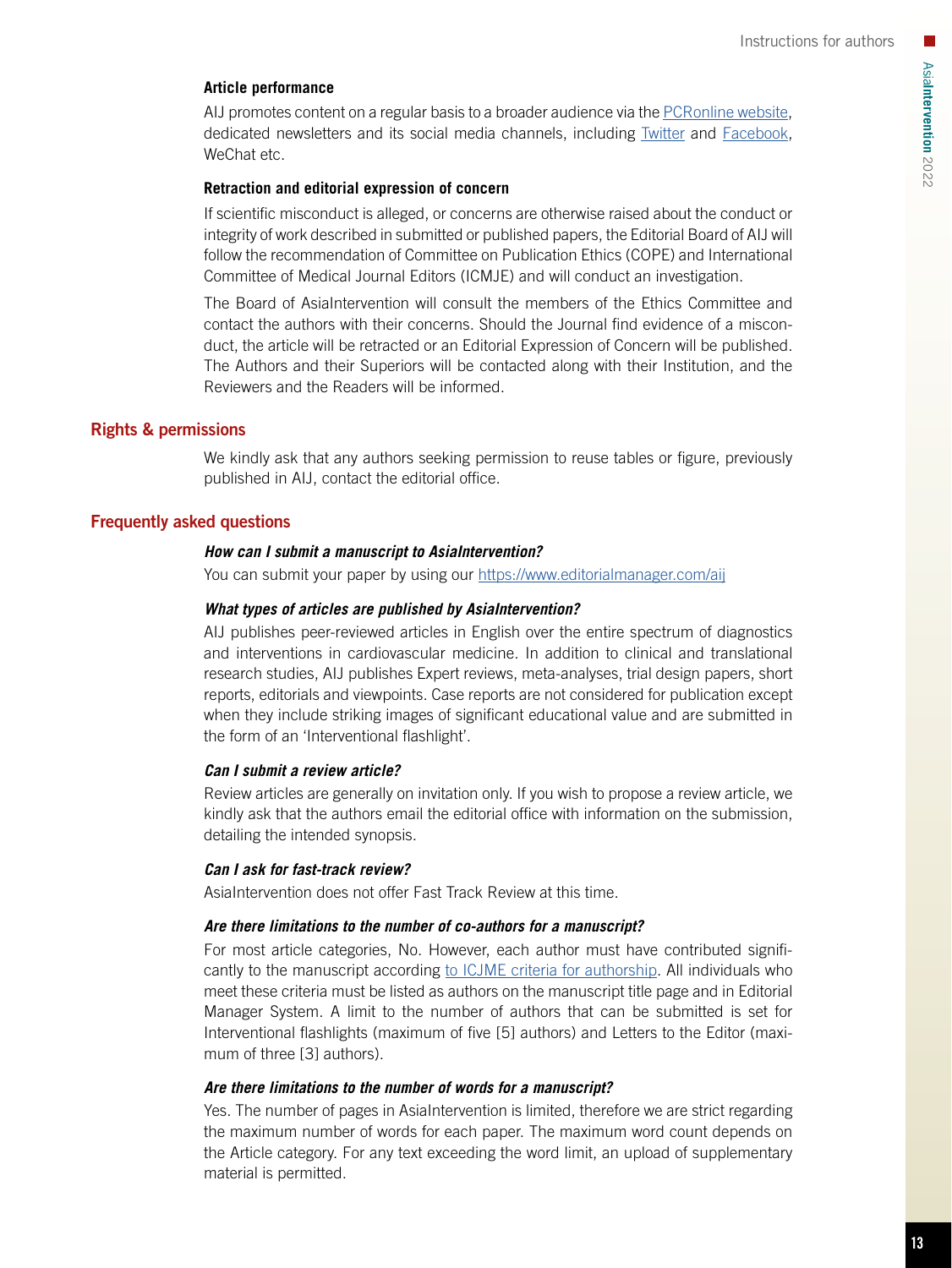# **Article performance**

AIJ promotes content on a regular basis to a broader audience via the [PCRonline website](https://www.pcronline.com/), dedicated newsletters and its social media channels, including **[Twitter](https://twitter.com/AsiaInterv) and [Facebook](https://www.facebook.com/AsiaIntervention)**, WeChat etc.

# **Retraction and editorial expression of concern**

If scientific misconduct is alleged, or concerns are otherwise raised about the conduct or integrity of work described in submitted or published papers, the Editorial Board of AIJ will follow the recommendation of Committee on Publication Ethics (COPE) and International Committee of Medical Journal Editors (ICMJE) and will conduct an investigation.

The Board of AsiaIntervention will consult the members of the Ethics Committee and contact the authors with their concerns. Should the Journal find evidence of a misconduct, the article will be retracted or an Editorial Expression of Concern will be published. The Authors and their Superiors will be contacted along with their Institution, and the Reviewers and the Readers will be informed.

# Rights & permissions

We kindly ask that any authors seeking permission to reuse tables or figure, previously published in AIJ, contact the editorial office.

# Frequently asked questions

# *How can I submit a manuscript to AsiaIntervention?*

You can submit your paper by using our<https://www.editorialmanager.com/aij>

# *What types of articles are published by AsiaIntervention?*

AIJ publishes peer-reviewed articles in English over the entire spectrum of diagnostics and interventions in cardiovascular medicine. In addition to clinical and translational research studies, AIJ publishes Expert reviews, meta-analyses, trial design papers, short reports, editorials and viewpoints. Case reports are not considered for publication except when they include striking images of significant educational value and are submitted in the form of an 'Interventional flashlight'.

# *Can I submit a review article?*

Review articles are generally on invitation only. If you wish to propose a review article, we kindly ask that the authors email the editorial office with information on the submission, detailing the intended synopsis.

# *Can I ask for fast-track review?*

AsiaIntervention does not offer Fast Track Review at this time.

# *Are there limitations to the number of co-authors for a manuscript?*

For most article categories, No. However, each author must have contributed significantly to the manuscript according [to ICJME criteria for authorship](http://www.icmje.org/recommendations/browse/roles-and-responsibilities/). All individuals who meet these criteria must be listed as authors on the manuscript title page and in Editorial Manager System. A limit to the number of authors that can be submitted is set for Interventional flashlights (maximum of five [5] authors) and Letters to the Editor (maximum of three [3] authors).

# *Are there limitations to the number of words for a manuscript?*

Yes. The number of pages in AsiaIntervention is limited, therefore we are strict regarding the maximum number of words for each paper. The maximum word count depends on the Article category. For any text exceeding the word limit, an upload of supplementary material is permitted.